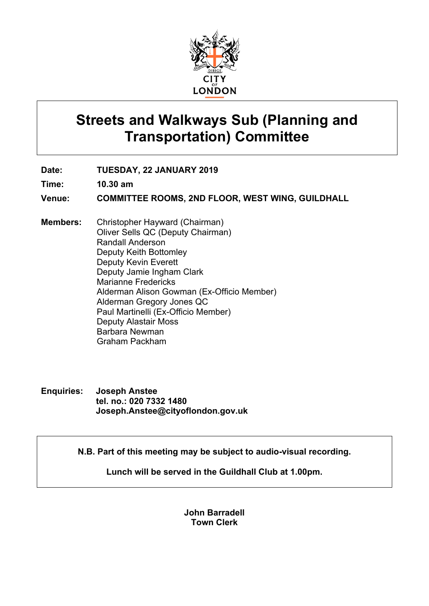

# **Streets and Walkways Sub (Planning and Transportation) Committee**

**Date: TUESDAY, 22 JANUARY 2019**

**Time: 10.30 am**

**Venue: COMMITTEE ROOMS, 2ND FLOOR, WEST WING, GUILDHALL**

- **Members:** Christopher Hayward (Chairman) Oliver Sells QC (Deputy Chairman) Randall Anderson Deputy Keith Bottomley Deputy Kevin Everett Deputy Jamie Ingham Clark Marianne Fredericks Alderman Alison Gowman (Ex-Officio Member) Alderman Gregory Jones QC Paul Martinelli (Ex-Officio Member) Deputy Alastair Moss Barbara Newman Graham Packham
- **Enquiries: Joseph Anstee tel. no.: 020 7332 1480 Joseph.Anstee@cityoflondon.gov.uk**

**N.B. Part of this meeting may be subject to audio-visual recording.**

**Lunch will be served in the Guildhall Club at 1.00pm.**

**John Barradell Town Clerk**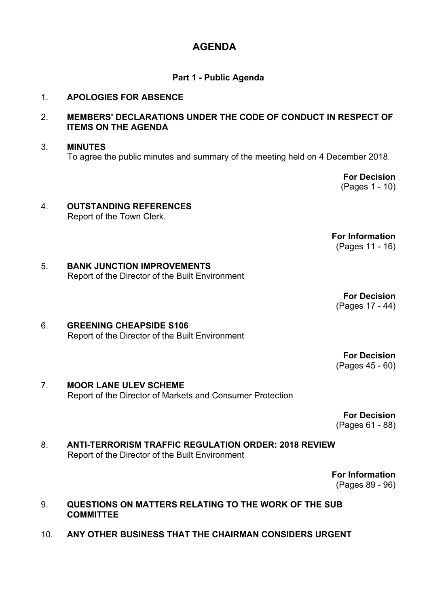# **AGENDA**

## **Part 1 - Public Agenda**

#### 1. **APOLOGIES FOR ABSENCE**

# 2. **MEMBERS' DECLARATIONS UNDER THE CODE OF CONDUCT IN RESPECT OF ITEMS ON THE AGENDA**

# 3. **MINUTES** To agree the public minutes and summary of the meeting held on 4 December 2018.

**For Decision** (Pages 1 - 10)

# 4. **OUTSTANDING REFERENCES** Report of the Town Clerk.

**For Information** (Pages 11 - 16)

# 5. **BANK JUNCTION IMPROVEMENTS** Report of the Director of the Built Environment

**For Decision** (Pages 17 - 44)

# 6. **GREENING CHEAPSIDE S106** Report of the Director of the Built Environment

**For Decision** (Pages 45 - 60)

#### 7. **MOOR LANE ULEV SCHEME** Report of the Director of Markets and Consumer Protection

**For Decision** (Pages 61 - 88)

# 8. **ANTI-TERRORISM TRAFFIC REGULATION ORDER: 2018 REVIEW** Report of the Director of the Built Environment

**For Information** (Pages 89 - 96)

#### 9. **QUESTIONS ON MATTERS RELATING TO THE WORK OF THE SUB COMMITTEE**

10. **ANY OTHER BUSINESS THAT THE CHAIRMAN CONSIDERS URGENT**